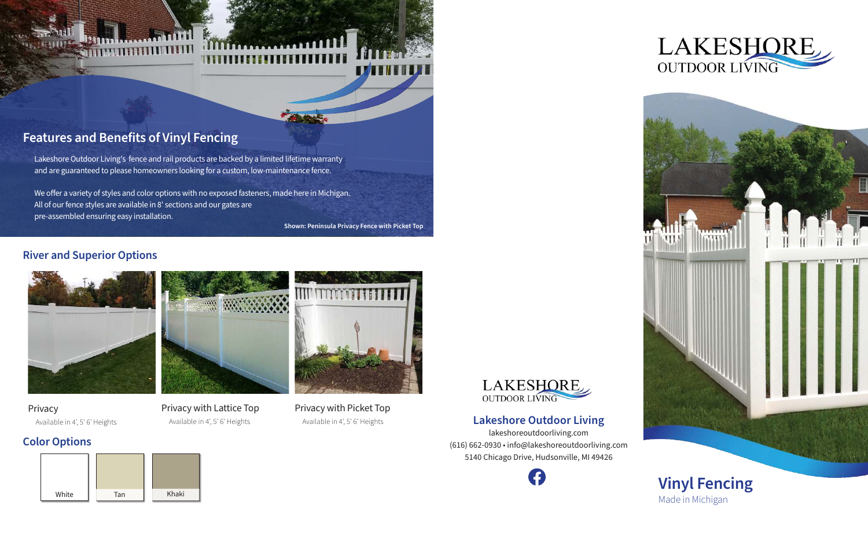## **Features and Benefits of Vinyl Fencing**

**MARK AND THE THEFT** 

Lakeshore Outdoor Living's fence and rail products are backed by a limited lifetime warranty and are guaranteed to please homeowners looking for a custom, low-maintenance fence.

We offer a variety of styles and color options with no exposed fasteners, made here in Michigan. All of our fence styles are available in 8' sections and our gates are pre-assembled ensuring easy installation.

**Shown: Peninsula Privacy Fence with Picket Top** 

#### **River and Superior Options**





Privacy Available in 4', 5' 6' Heights Privacy with Lattice Top Available in 4', 5' 6' Heights

Privacy with Picket Top Available in 4', 5' 6' Heights



### **Lakeshore Outdoor Living**

lakeshoreoutdoorliving.com (616) 662-0930 • info@lakeshoreoutdoorliving.com 5140 Chicago Drive, Hudsonville, MI 49426

A







## **Color Options**